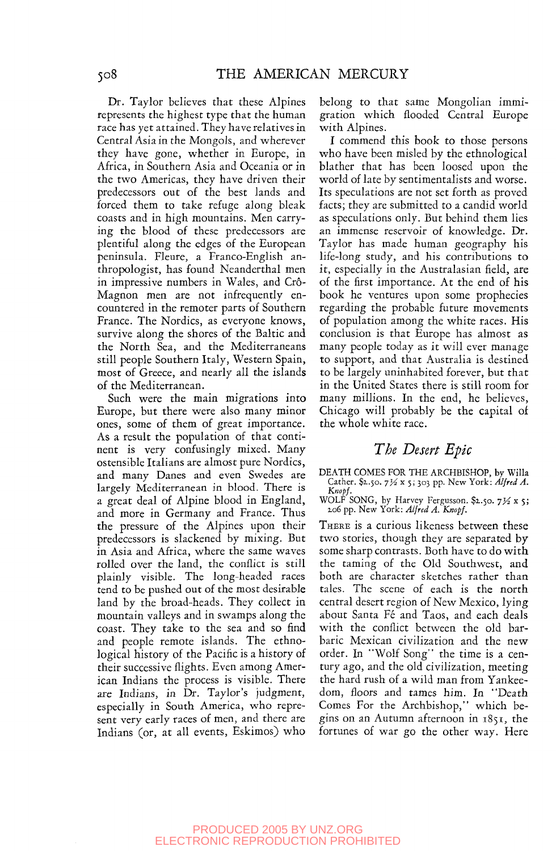Dr. Taylor believes that these Alpines represents the highest type that the human race has yet attained. They have relatives in Central Asia in the Mongols, and wherever they have gone, whether in Europe, in Africa, in Southern Asia and Oceania or in the two Americas, they have driven their predecessors out of the best lands and forced them to take refuge along bleak coasts and in high mountains. Men carrying the blood of these predecessors are plentiful along the edges of the European peninsula. Fleure, a Franco-English anthropologist, has found Neanderthal men in impressive numbers in Wales, and Crô-Magnon men are not infrequently encountered in the remoter parts of Southern France. The Nordics, as everyone knows, survive along the shores of the Baltic and the North Sea, and the Mediterraneans still people Southern Italy, Western Spain, most of Greece, and nearly all the islands of the Mediterranean.

Such were the main migrations into Europe, but there were also many minor ones, some of them of great importance. As a result the population of that continent is very confusingly mixed. Many ostensible Italians are almost pure Nordics, and many Danes and even Swedes are largely Mediterranean in blood. There is a great deal of Alpine blood in England, and more in Germany and France. Thus the pressure of the Alpines upon their predecessors is slackened by mixing. But in Asia and Africa, where the same waves rolled over the land, the conflict is still plainly visible. The long-headed races tend to be pushed out of the most desirable land by the broad-heads. They collect in mountain valleys and in swamps along the coast. They take to the sea and so find and people remote islands. The ethnological history of the Pacific is a history of their successive flights. Even among American Indians the process is visible. There are Indians, in Dr. Taylor's judgment, especially in South America, who represent very early races of men, and there are Indians (or, at all events, Eskimos) who belong to that same Mongolian immigration which flooded Central Europe with Alpines.

I commend this book to those persons who have been misled by the ethnological blather that has been loosed upon the world of late by sentimentalists and worse. Its speculations are not set forth as proved facts; they are submitted to a candid world as speculations only. But behind them lies an immense reservoir of knowledge. Dr. Taylor has made human geography his life-long study, and his contributions to it, especially in the Australasian field, are of the first importance. At the end of his book he ventures upon some prophecies regarding the probable future movements of population among the white races. His conclusion is that Europe has almost as many people today as it will ever manage to support, and that Australia is destined to be largely uninhabited forever, but that in the United States there is still room for many millions. In the end, he believes, Chicago will probably be the capital of the whole white race.

## *The Desert Epic*

DEATH COMES FOR THE ARCHBISHOP, by Willa Cather. \$2.50. 71/2 x 5; 303 pp. New York: *Alfred A*.

*Knopf.*<br>
WOLF SONG, by Harvey Fergusson. \$2.50. 7½ x 5;<br>
206 pp. New York: *Alfred A. Knopf.* 

THERE is a curious likeness between these two stories, though they are separated by some sharp contrasts. Both have to do with the taming of the Old Southwest, and both are character sketches rather than tales. The scene of each is the north central desert region of New Mexico, lying about Santa Fé and Taos, and each deals with the conflict between the old barbaric Mexican civilization and the new order. In "Wolf Song" the time is a century ago, and the old civilization, meeting the hard rush of a wild man from Yankeedom, floors and tames him. In "Death Comes For the Archbishop," which begins on an Autumn afternoon in 1851, the fortunes of war go the other way. Here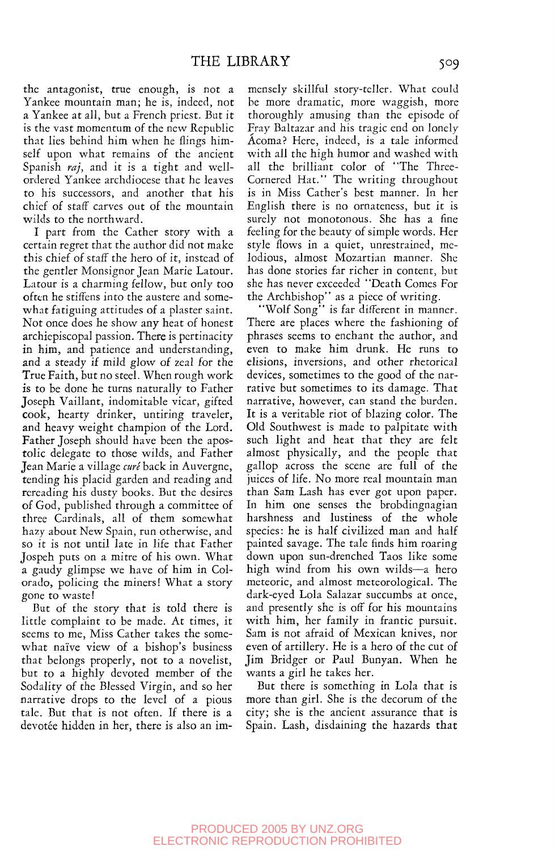the antagonist, true enough, is not a Yankee mountain man; he is, indeed, not a Yankee at all, but a French priest. But it is the vast momentum of the new Republic that lies behind him when he flings himself upon what remains of the ancient Spanish *raj,* and it is a tight and wellordered Yankee archdiocese that he leaves to his successors, and another that his chief of staff carves out of the mountain wilds to the northward.

I part from the Gather story with a certain regret that the author did not make this chief of staff the hero of it, instead of the gentler Monsignor Jean Marie Latour. Latour is a charming fellow, but only too often he stiffens into the austere and somewhat fatiguing attitudes of a plaster saint. Not once does he show any heat of honest archiepiscopal passion. There is pertinacity in him, and patience and understanding, and a steady if mild glow of zeal for the True Faith, but no steel. When rough work is to be done he turns naturally to Father Joseph Vaillant, indomitable vicar, gifted cook, hearty drinker, untiring traveler, and heavy weight champion of the Lord. Father Joseph should have been the apostolic delegate to those wilds, and Father Jean Marie a village *cure* back in Auvergne, tending his placid garden and reading and rereading his dusty books. But the desires of God, published through a committee of three Cardinals, all of them somewhat hazy about New Spain, run otherwise, and so it is not until late in life that Father Jospeh puts on a mitre of his own. What a gaudy glimpse we have of him in Colorado, policing the miners! What a story gone to waste!

But of the story that is told there is little complaint to be made. At times, it seems to me, Miss Cather takes the somewhat naive view of a bishop's business that belongs properly, not to a novelist, but to a highly devoted member of the Sodality of the Blessed Virgin, and so her narrative drops to the level of a pious talc. But that is not often. If there is a devotée hidden in her, there is also an im-

mensely skillful story-teller. What could be more dramatic, more waggish, more thoroughly amusing than the episode of Fray Baltazar and his tragic end on lonely Acoma? Here, indeed, is a tale informed with all the high humor and washed with all the brilliant color of 'The Three-Cornered Hat." The writing throughout is in Miss Cather's best manner. In her English there is no ornateness, but it is surely not monotonous. She has a fine feeling for the beauty of simple words. Her style flows in a quiet, unrestrained, melodious, almost Mozartian manner. She has done stories far richer in content, but she has never exceeded ' 'Death Comes For the Archbishop" as a piece of writing.

"Wolf Song" is far different in manner. There are places where the fashioning of phrases seems to enchant the author, and even to make him drunk. He runs to elisions, inversions, and other rhetorical devices, sometimes to the good of the narrative but sometimes to its damage. That narrative, however, can stand the burden. It is a veritable riot of blazing color. The Old Southwest is made to palpitate with such light and heat that they are felt almost physically, and the people that gallop across the scene are full of the juices of life. No more real mountain man than Sam Lash has ever got upon paper. In him one senses the brobdingnagian harshness and lustiness of the whole species: he is half civilized man and half painted savage. The tale finds him roaring down upon sun-drenched Taos like some high wind from his own wilds—a hero meteoric, and almost meteorological. The dark-eyed Lola Salazar succumbs at once, and presently she is off for his mountains with him, her family in frantic pursuit. Sam is not afraid of Mexican knives, nor even of artillery. He is a hero of the cut of Jim Bridger or Paul Bunyan. When he wants a girl he takes her.

But there is something in Lola that is more than girl. She is the decorum of the city; she is the ancient assurance that is Spain. Lash, disdaining the hazards that